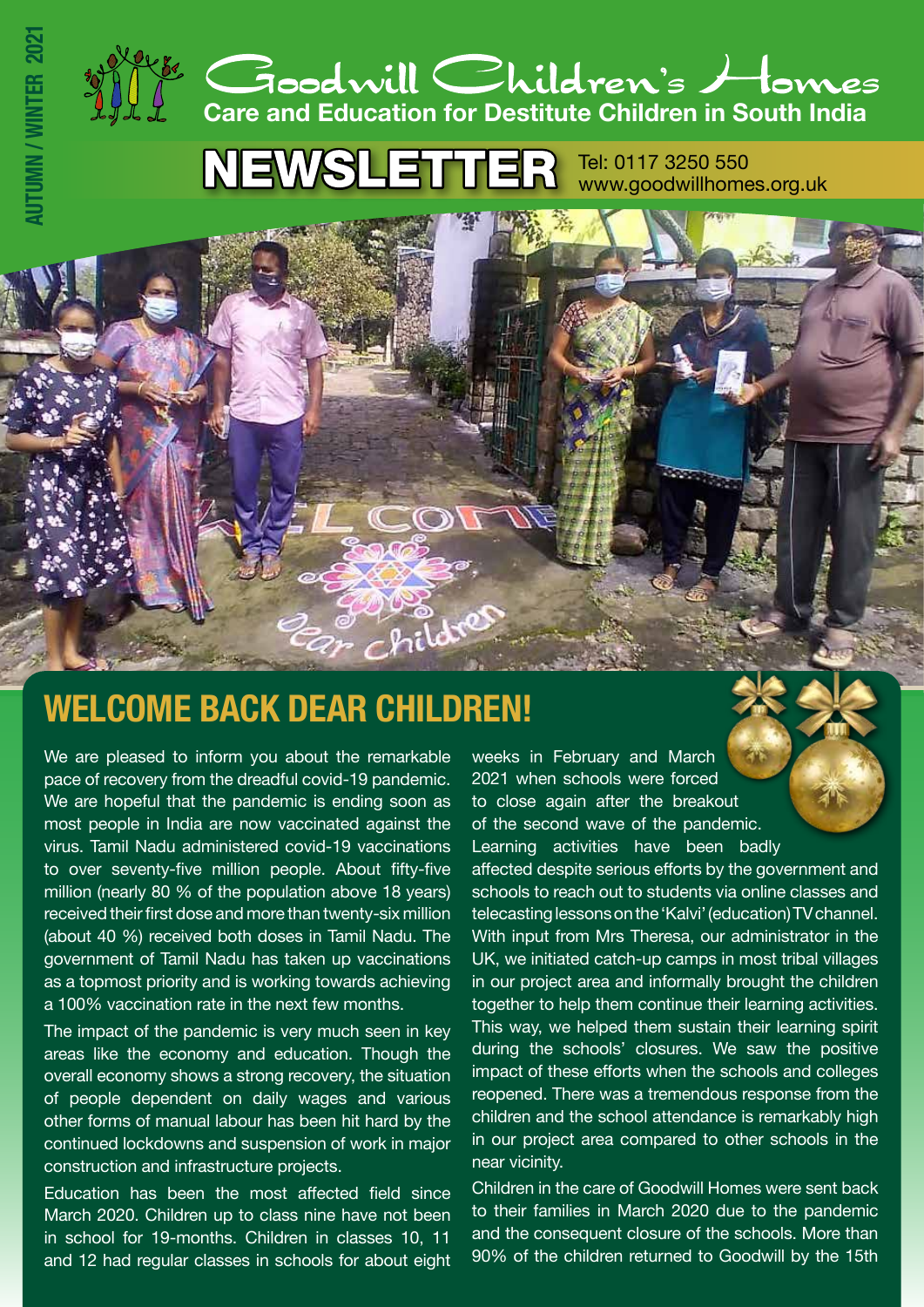

**NEWSLETTER** Tel: 0117 3250 550 www.goodwillhomes.org.uk

# **WELCOME BACK DEAR CHILDREN!**

We are pleased to inform you about the remarkable pace of recovery from the dreadful covid-19 pandemic. We are hopeful that the pandemic is ending soon as most people in India are now vaccinated against the virus. Tamil Nadu administered covid-19 vaccinations to over seventy-five million people. About fifty-five million (nearly 80 % of the population above 18 years) received their first dose and more than twenty-six million (about 40 %) received both doses in Tamil Nadu. The government of Tamil Nadu has taken up vaccinations as a topmost priority and is working towards achieving a 100% vaccination rate in the next few months.

**AUTUMN / WINTER 2021**

The impact of the pandemic is very much seen in key areas like the economy and education. Though the overall economy shows a strong recovery, the situation of people dependent on daily wages and various other forms of manual labour has been hit hard by the continued lockdowns and suspension of work in major construction and infrastructure projects.

Education has been the most affected field since March 2020. Children up to class nine have not been in school for 19-months. Children in classes 10, 11 and 12 had regular classes in schools for about eight

weeks in February and March 2021 when schools were forced to close again after the breakout of the second wave of the pandemic. Learning activities have been badly

affected despite serious efforts by the government and schools to reach out to students via online classes and telecasting lessons on the 'Kalvi' (education) TV channel. With input from Mrs Theresa, our administrator in the UK, we initiated catch-up camps in most tribal villages in our project area and informally brought the children together to help them continue their learning activities. This way, we helped them sustain their learning spirit during the schools' closures. We saw the positive impact of these efforts when the schools and colleges reopened. There was a tremendous response from the children and the school attendance is remarkably high in our project area compared to other schools in the near vicinity.

Children in the care of Goodwill Homes were sent back to their families in March 2020 due to the pandemic and the consequent closure of the schools. More than 90% of the children returned to Goodwill by the 15th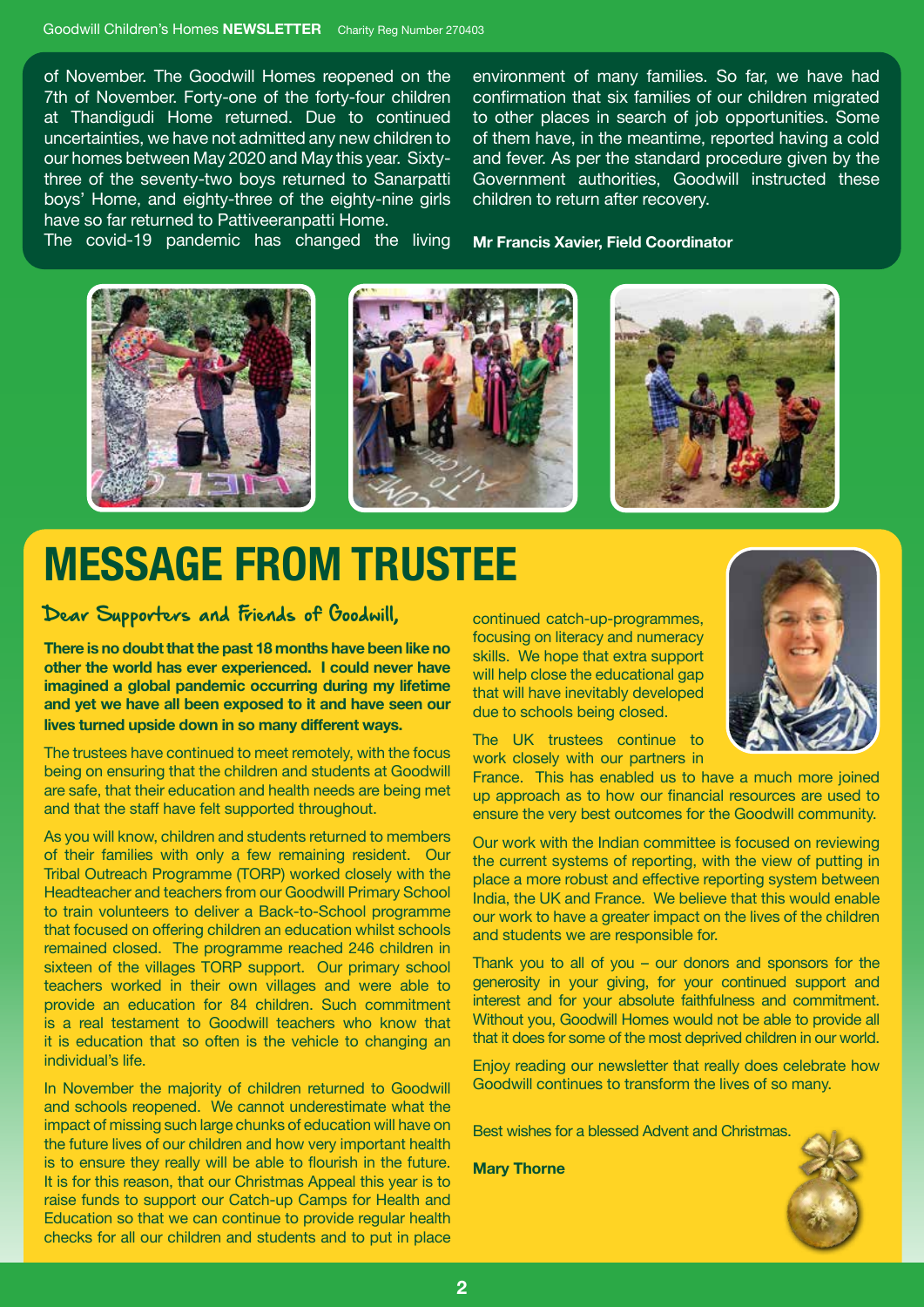of November. The Goodwill Homes reopened on the 7th of November. Forty-one of the forty-four children at Thandigudi Home returned. Due to continued uncertainties, we have not admitted any new children to our homes between May 2020 and May this year. Sixtythree of the seventy-two boys returned to Sanarpatti boys' Home, and eighty-three of the eighty-nine girls have so far returned to Pattiveeranpatti Home.

The covid-19 pandemic has changed the living

environment of many families. So far, we have had confirmation that six families of our children migrated to other places in search of job opportunities. Some of them have, in the meantime, reported having a cold and fever. As per the standard procedure given by the Government authorities, Goodwill instructed these children to return after recovery.

**Mr Francis Xavier, Field Coordinator**



# **MESSAGE FROM TRUSTEE**

#### Dear Supporters and Friends of Goodwill,

**There is no doubt that the past 18 months have been like no other the world has ever experienced. I could never have imagined a global pandemic occurring during my lifetime and yet we have all been exposed to it and have seen our lives turned upside down in so many different ways.**

The trustees have continued to meet remotely, with the focus being on ensuring that the children and students at Goodwill are safe, that their education and health needs are being met and that the staff have felt supported throughout.

As you will know, children and students returned to members of their families with only a few remaining resident. Our Tribal Outreach Programme (TORP) worked closely with the Headteacher and teachers from our Goodwill Primary School to train volunteers to deliver a Back-to-School programme that focused on offering children an education whilst schools remained closed. The programme reached 246 children in sixteen of the villages TORP support. Our primary school teachers worked in their own villages and were able to provide an education for 84 children. Such commitment is a real testament to Goodwill teachers who know that it is education that so often is the vehicle to changing an individual's life.

In November the majority of children returned to Goodwill and schools reopened. We cannot underestimate what the impact of missing such large chunks of education will have on the future lives of our children and how very important health is to ensure they really will be able to flourish in the future. It is for this reason, that our Christmas Appeal this year is to raise funds to support our Catch-up Camps for Health and Education so that we can continue to provide regular health checks for all our children and students and to put in place

continued catch-up-programmes, focusing on literacy and numeracy skills. We hope that extra support will help close the educational gap that will have inevitably developed due to schools being closed.

The UK trustees continue to work closely with our partners in

France. This has enabled us to have a much more joined up approach as to how our financial resources are used to ensure the very best outcomes for the Goodwill community.

Our work with the Indian committee is focused on reviewing the current systems of reporting, with the view of putting in place a more robust and effective reporting system between India, the UK and France. We believe that this would enable our work to have a greater impact on the lives of the children and students we are responsible for.

Thank you to all of you – our donors and sponsors for the generosity in your giving, for your continued support and interest and for your absolute faithfulness and commitment. Without you, Goodwill Homes would not be able to provide all that it does for some of the most deprived children in our world.

Enjoy reading our newsletter that really does celebrate how Goodwill continues to transform the lives of so many.

Best wishes for a blessed Advent and Christmas.

**Mary Thorne**



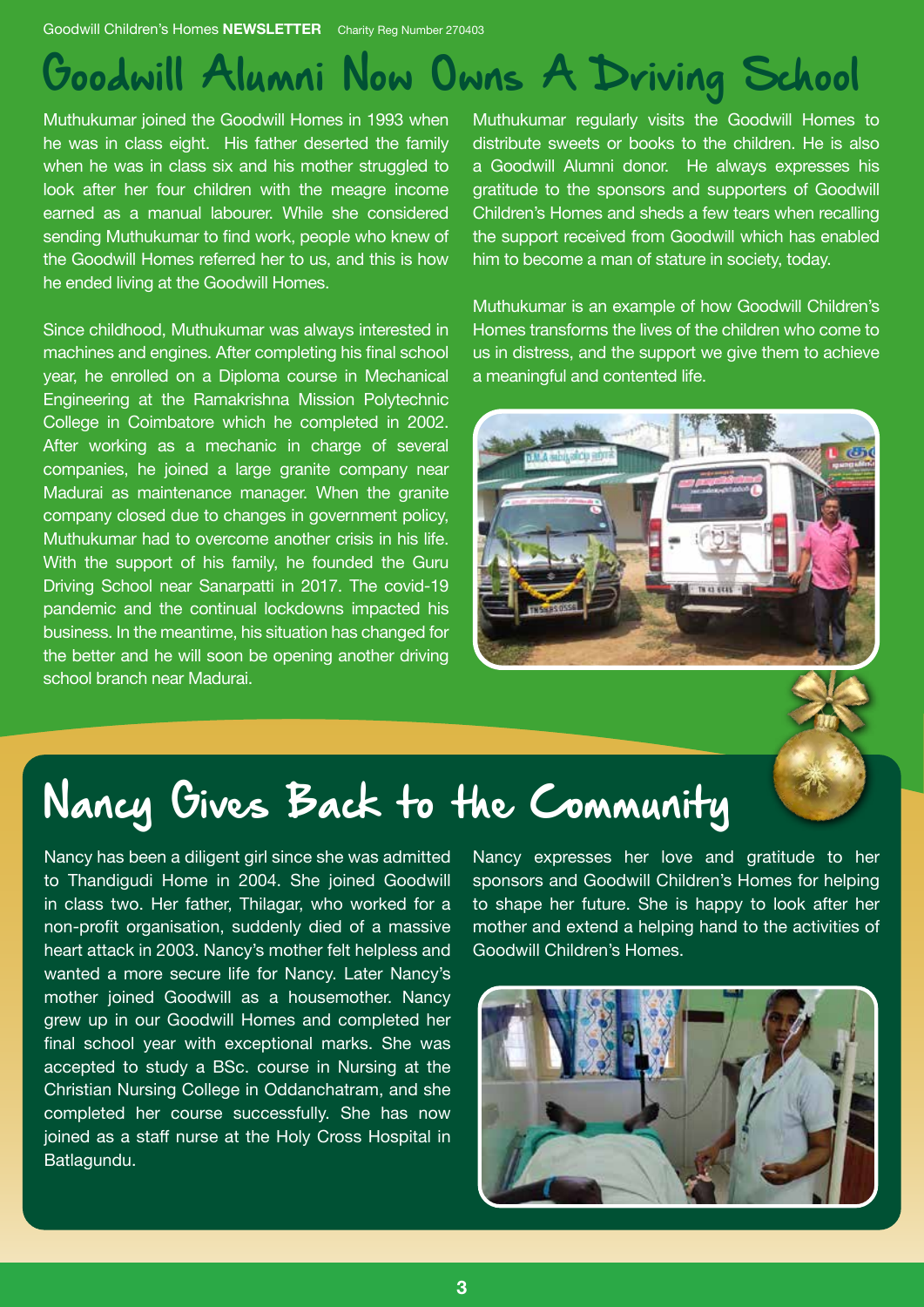Goodwill Children's Homes **NEWSLETTER** Charity Reg Number 270403

# Goodwill Alumni Now Owns A Driving School

Muthukumar joined the Goodwill Homes in 1993 when he was in class eight. His father deserted the family when he was in class six and his mother struggled to look after her four children with the meagre income earned as a manual labourer. While she considered sending Muthukumar to find work, people who knew of the Goodwill Homes referred her to us, and this is how he ended living at the Goodwill Homes.

Since childhood, Muthukumar was always interested in machines and engines. After completing his final school year, he enrolled on a Diploma course in Mechanical Engineering at the Ramakrishna Mission Polytechnic College in Coimbatore which he completed in 2002. After working as a mechanic in charge of several companies, he joined a large granite company near Madurai as maintenance manager. When the granite company closed due to changes in government policy, Muthukumar had to overcome another crisis in his life. With the support of his family, he founded the Guru Driving School near Sanarpatti in 2017. The covid-19 pandemic and the continual lockdowns impacted his business. In the meantime, his situation has changed for the better and he will soon be opening another driving school branch near Madurai.

Muthukumar regularly visits the Goodwill Homes to distribute sweets or books to the children. He is also a Goodwill Alumni donor. He always expresses his gratitude to the sponsors and supporters of Goodwill Children's Homes and sheds a few tears when recalling the support received from Goodwill which has enabled him to become a man of stature in society, today.

Muthukumar is an example of how Goodwill Children's Homes transforms the lives of the children who come to us in distress, and the support we give them to achieve a meaningful and contented life.



# Nancy Gives Back to the Community

Nancy has been a diligent girl since she was admitted to Thandigudi Home in 2004. She joined Goodwill in class two. Her father, Thilagar, who worked for a non-profit organisation, suddenly died of a massive heart attack in 2003. Nancy's mother felt helpless and wanted a more secure life for Nancy. Later Nancy's mother joined Goodwill as a housemother. Nancy grew up in our Goodwill Homes and completed her final school year with exceptional marks. She was accepted to study a BSc. course in Nursing at the Christian Nursing College in Oddanchatram, and she completed her course successfully. She has now joined as a staff nurse at the Holy Cross Hospital in Batlagundu.

Nancy expresses her love and gratitude to her sponsors and Goodwill Children's Homes for helping to shape her future. She is happy to look after her mother and extend a helping hand to the activities of Goodwill Children's Homes.

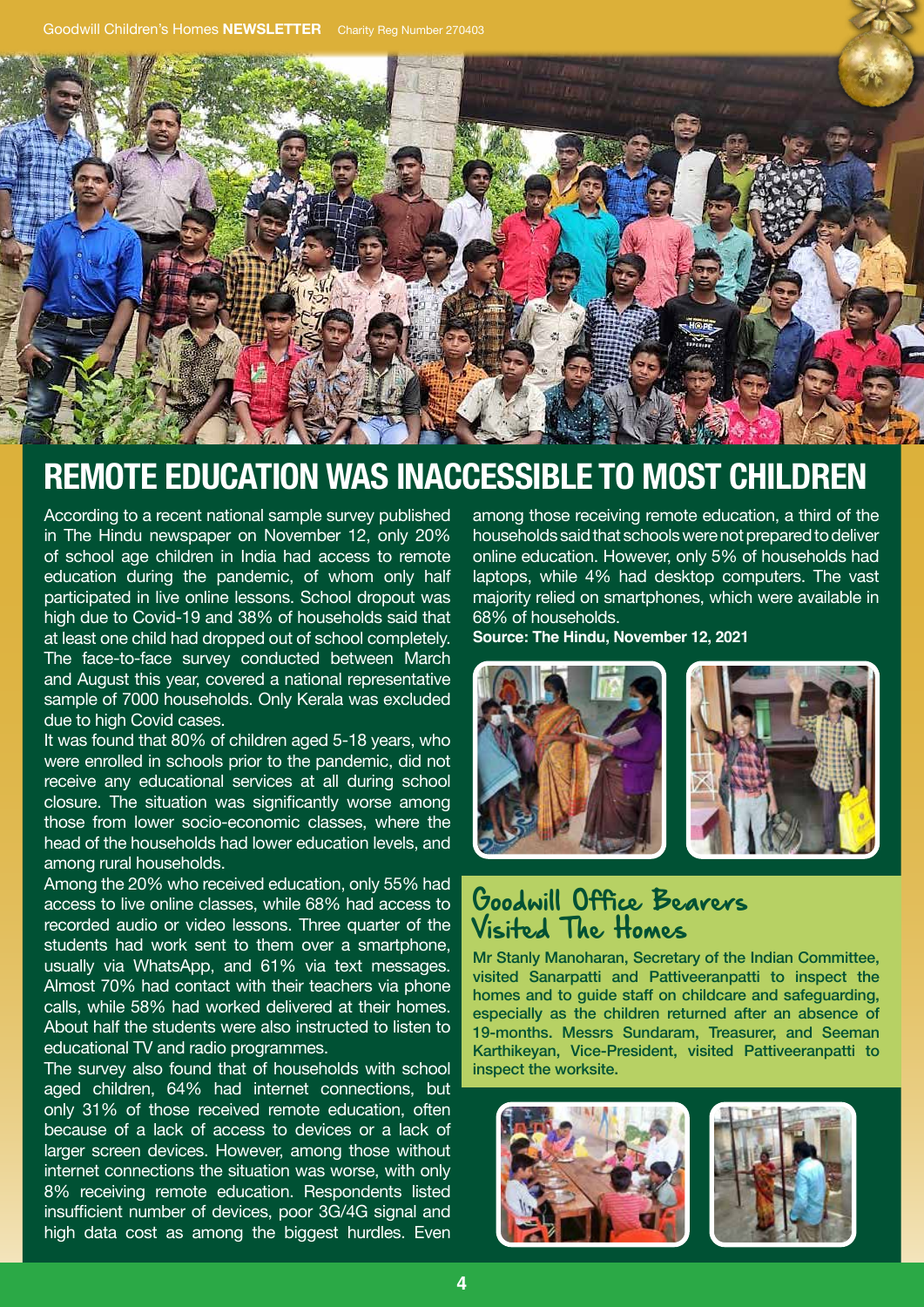

## **REMOTE EDUCATION WAS INACCESSIBLE TO MOST CHILDREN**

According to a recent national sample survey published in The Hindu newspaper on November 12, only 20% of school age children in India had access to remote education during the pandemic, of whom only half participated in live online lessons. School dropout was high due to Covid-19 and 38% of households said that at least one child had dropped out of school completely. The face-to-face survey conducted between March and August this year, covered a national representative sample of 7000 households. Only Kerala was excluded due to high Covid cases.

It was found that 80% of children aged 5-18 years, who were enrolled in schools prior to the pandemic, did not receive any educational services at all during school closure. The situation was significantly worse among those from lower socio-economic classes, where the head of the households had lower education levels, and among rural households.

Among the 20% who received education, only 55% had access to live online classes, while 68% had access to recorded audio or video lessons. Three quarter of the students had work sent to them over a smartphone. usually via WhatsApp, and 61% via text messages. Almost 70% had contact with their teachers via phone calls, while 58% had worked delivered at their homes. About half the students were also instructed to listen to educational TV and radio programmes.

The survey also found that of households with school aged children, 64% had internet connections, but only 31% of those received remote education, often because of a lack of access to devices or a lack of larger screen devices. However, among those without internet connections the situation was worse, with only 8% receiving remote education. Respondents listed insufficient number of devices, poor 3G/4G signal and high data cost as among the biggest hurdles. Even

among those receiving remote education, a third of the households said that schools were not prepared to deliver online education. However, only 5% of households had laptops, while 4% had desktop computers. The vast majority relied on smartphones, which were available in 68% of households.

**Source: The Hindu, November 12, 2021**



#### Goodwill Office Bearers Visited The Homes

Mr Stanly Manoharan, Secretary of the Indian Committee, visited Sanarpatti and Pattiveeranpatti to inspect the homes and to guide staff on childcare and safeguarding, especially as the children returned after an absence of 19-months. Messrs Sundaram, Treasurer, and Seeman Karthikeyan, Vice-President, visited Pattiveeranpatti to inspect the worksite.

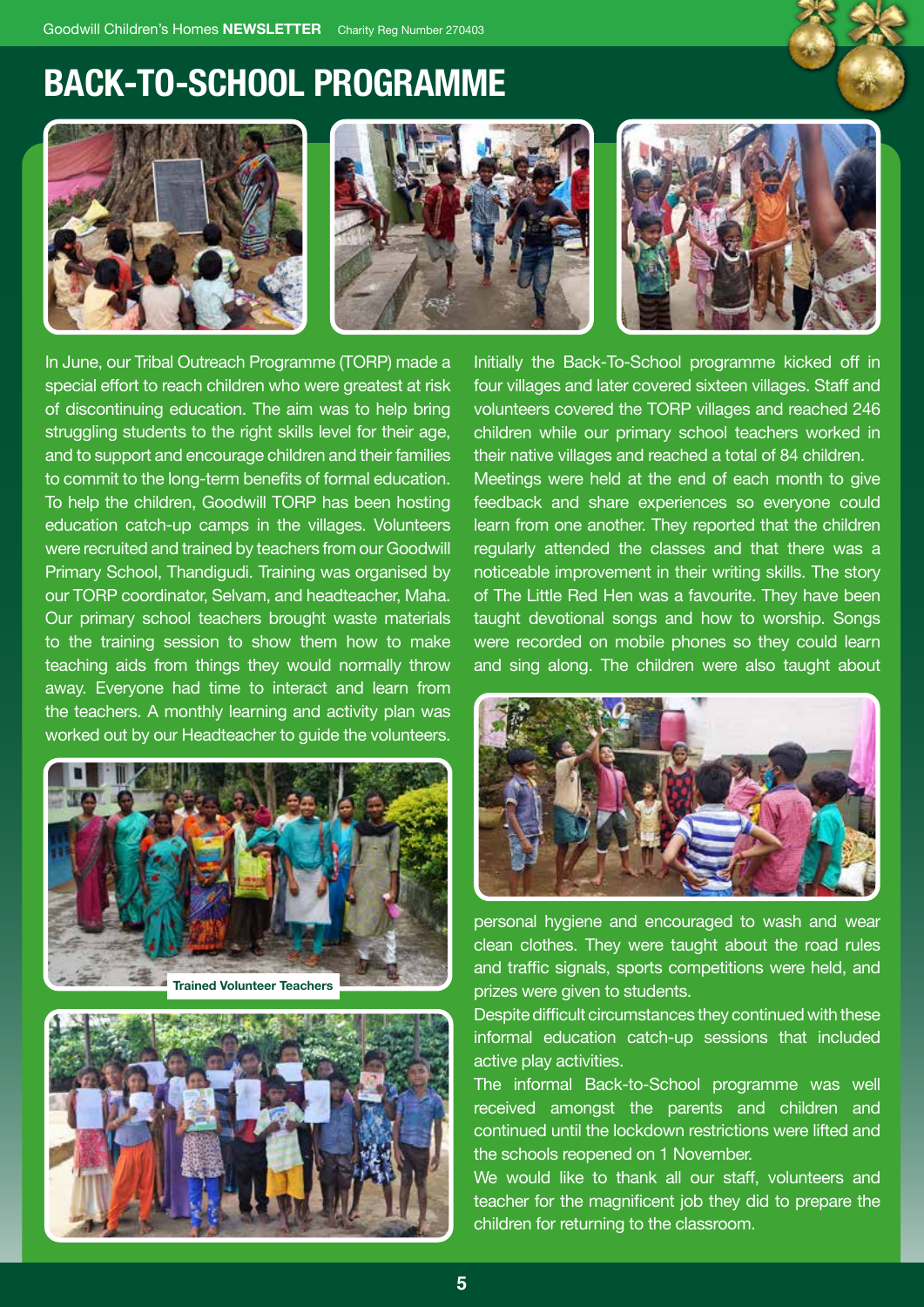## **BACK-TO-SCHOOL PROGRAMME**







In June, our Tribal Outreach Programme (TORP) made a special effort to reach children who were greatest at risk of discontinuing education. The aim was to help bring struggling students to the right skills level for their age, and to support and encourage children and their families to commit to the long-term benefits of formal education. To help the children, Goodwill TORP has been hosting education catch-up camps in the villages. Volunteers were recruited and trained by teachers from our Goodwill Primary School, Thandigudi. Training was organised by our TORP coordinator, Selvam, and headteacher, Maha. Our primary school teachers brought waste materials to the training session to show them how to make teaching aids from things they would normally throw away. Everyone had time to interact and learn from the teachers. A monthly learning and activity plan was worked out by our Headteacher to guide the volunteers.





Initially the Back-To-School programme kicked off in four villages and later covered sixteen villages. Staff and volunteers covered the TORP villages and reached 246 children while our primary school teachers worked in their native villages and reached a total of 84 children.

Meetings were held at the end of each month to give feedback and share experiences so everyone could learn from one another. They reported that the children regularly attended the classes and that there was a noticeable improvement in their writing skills. The story of The Little Red Hen was a favourite. They have been taught devotional songs and how to worship. Songs were recorded on mobile phones so they could learn and sing along. The children were also taught about



personal hygiene and encouraged to wash and wear clean clothes. They were taught about the road rules and traffic signals, sports competitions were held, and prizes were given to students.

Despite difficult circumstances they continued with these informal education catch-up sessions that included active play activities.

The informal Back-to-School programme was well received amongst the parents and children and continued until the lockdown restrictions were lifted and the schools reopened on 1 November.

We would like to thank all our staff, volunteers and teacher for the magnificent job they did to prepare the children for returning to the classroom.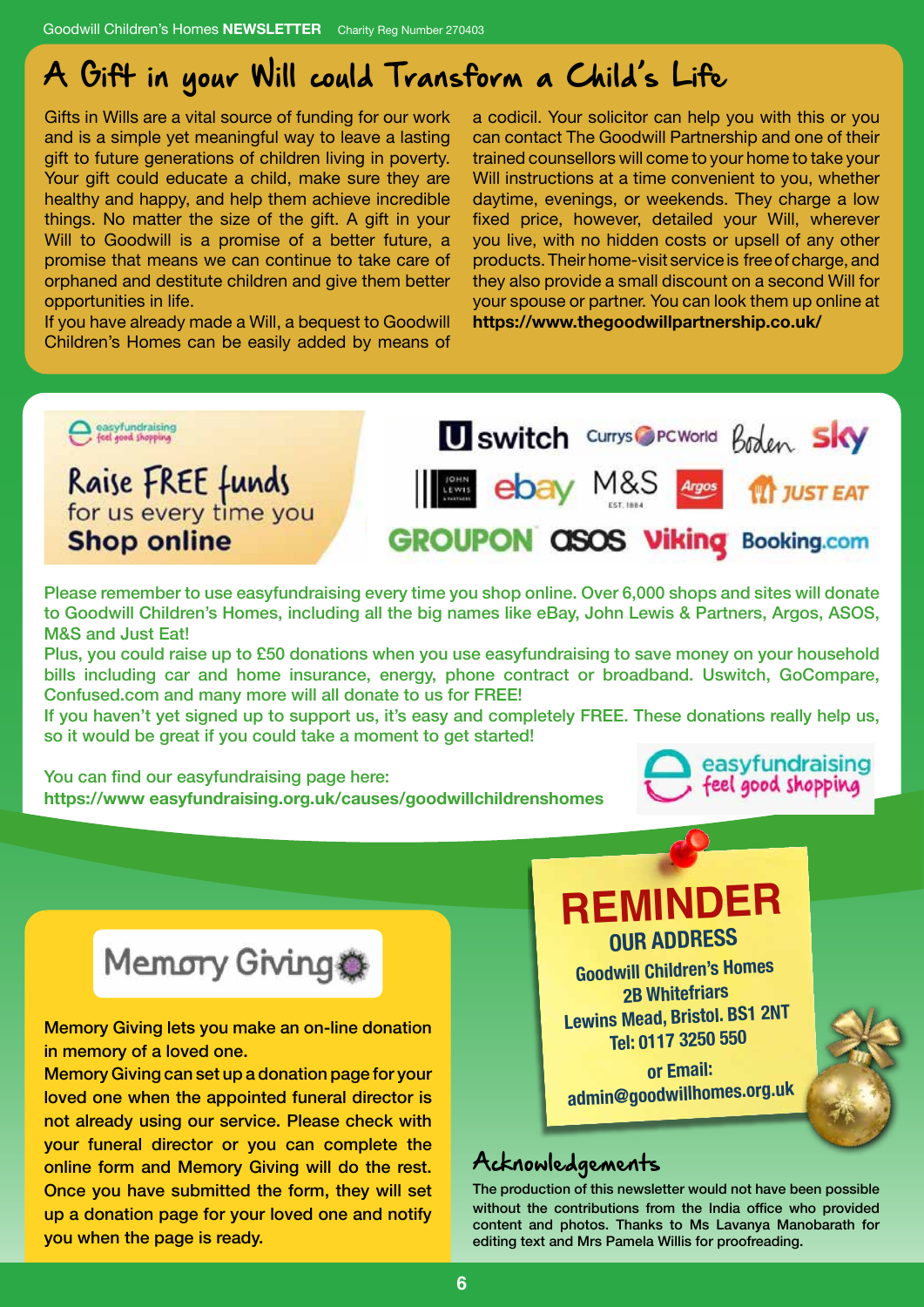## A Gift in your Will could Transform a Child's Life

Gifts in Wills are a vital source of funding for our work and is a simple yet meaningful way to leave a lasting gift to future generations of children living in poverty. Your gift could educate a child, make sure they are healthy and happy, and help them achieve incredible things. No matter the size of the gift. A gift in your Will to Goodwill is a promise of a better future, a promise that means we can continue to take care of orphaned and destitute children and give them better opportunities in life.

If you have already made a Will, a bequest to Goodwill Children's Homes can be easily added by means of

a codicil. Your solicitor can help you with this or you can contact The Goodwill Partnership and one of their trained counsellors will come to your home to take your Will instructions at a time convenient to you, whether daytime, evenings, or weekends. They charge a low fixed price, however, detailed your Will, wherever you live, with no hidden costs or upsell of any other products. Their home-visit service is free of charge, and they also provide a small discount on a second Will for your spouse or partner. You can look them up online at **https://www.thegoodwillpartnership.co.uk/**



Please remember to use easyfundraising every time you shop online. Over 6,000 shops and sites will donate to Goodwill Children's Homes, including all the big names like eBay, John Lewis & Partners, Argos, ASOS, M&S and Just Eat!

Plus, you could raise up to £50 donations when you use easyfundraising to save money on your household bills including car and home insurance, energy, phone contract or broadband. Uswitch, GoCompare, Confused.com and many more will all donate to us for FREE!

If you haven't yet signed up to support us, it's easy and completely FREE. These donations really help us, so it would be great if you could take a moment to get started!

You can find our easyfundraising page here: **https://www easyfundraising.org.uk/causes/goodwillchildrenshomes**



# Memory Giving .

Memory Giving lets you make an on-line donation in memory of a loved one.

Memory Giving can set up a donation page for your loved one when the appointed funeral director is not already using our service. Please check with your funeral director or you can complete the online form and Memory Giving will do the rest. Once you have submitted the form, they will set up a donation page for your loved one and notify you when the page is ready.

## **REMINDER OUR ADDRESS**

**Goodwill Children's Homes 2B Whitefriars Lewins Mead, Bristol. BS1 2NT Tel: 0117 3250 550**

**or Email: admin@goodwillhomes.org.u<sup>k</sup>**

#### Acknowledgements

The production of this newsletter would not have been possible without the contributions from the India office who provided content and photos. Thanks to Ms Lavanya Manobarath for editing text and Mrs Pamela Willis for proofreading.

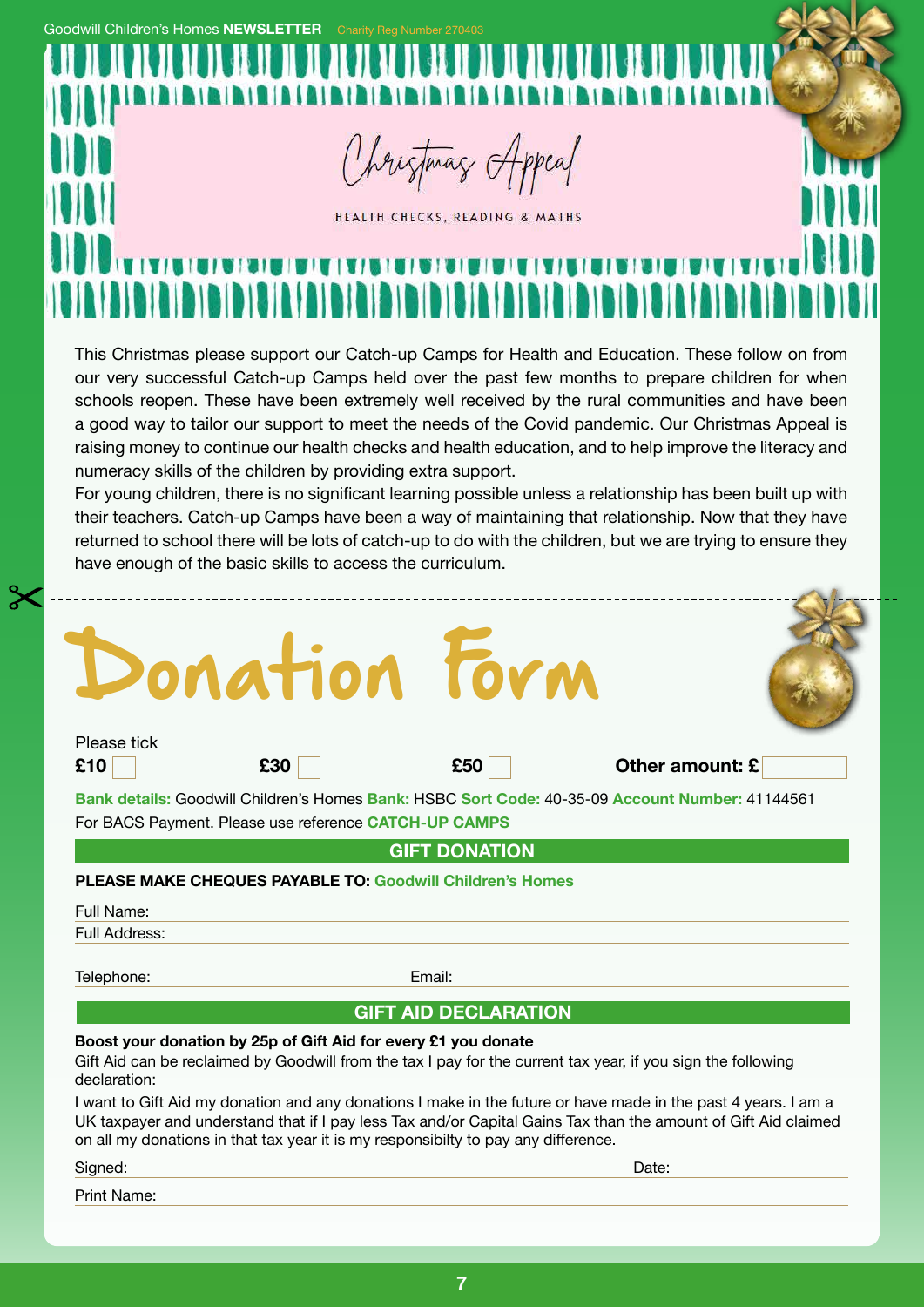**Goodwill Children's Homes NEWSLETTER** 

Christmas Appeal

HEALTH CHECKS, READING & MATHS

This Christmas please support our Catch-up Camps for Health and Education. These follow on from our very successful Catch-up Camps held over the past few months to prepare children for when schools reopen. These have been extremely well received by the rural communities and have been a good way to tailor our support to meet the needs of the Covid pandemic. Our Christmas Appeal is raising money to continue our health checks and health education, and to help improve the literacy and numeracy skills of the children by providing extra support.

For young children, there is no significant learning possible unless a relationship has been built up with their teachers. Catch-up Camps have been a way of maintaining that relationship. Now that they have returned to school there will be lots of catch-up to do with the children, but we are trying to ensure they have enough of the basic skills to access the curriculum.

# onation Form

--------------------

Please tick

**£10 £30 £50 Other amount: £**

**Bank details:** Goodwill Children's Homes **Bank:** HSBC **Sort Code:** 40-35-09 **Account Number:** 41144561 For BACS Payment. Please use reference **CATCH-UP CAMPS**

**GIFT DONATION**

#### **PLEASE MAKE CHEQUES PAYABLE TO: Goodwill Children's Homes**

Full Name:

Full Address:

Telephone: Email:

#### **GIFT AID DECLARATION**

#### **Boost your donation by 25p of Gift Aid for every £1 you donate**

Gift Aid can be reclaimed by Goodwill from the tax I pay for the current tax year, if you sign the following declaration:

I want to Gift Aid my donation and any donations I make in the future or have made in the past 4 years. I am a UK taxpayer and understand that if I pay less Tax and/or Capital Gains Tax than the amount of Gift Aid claimed on all my donations in that tax year it is my responsibilty to pay any difference.

Signed: Date:

Print Name:

**7**